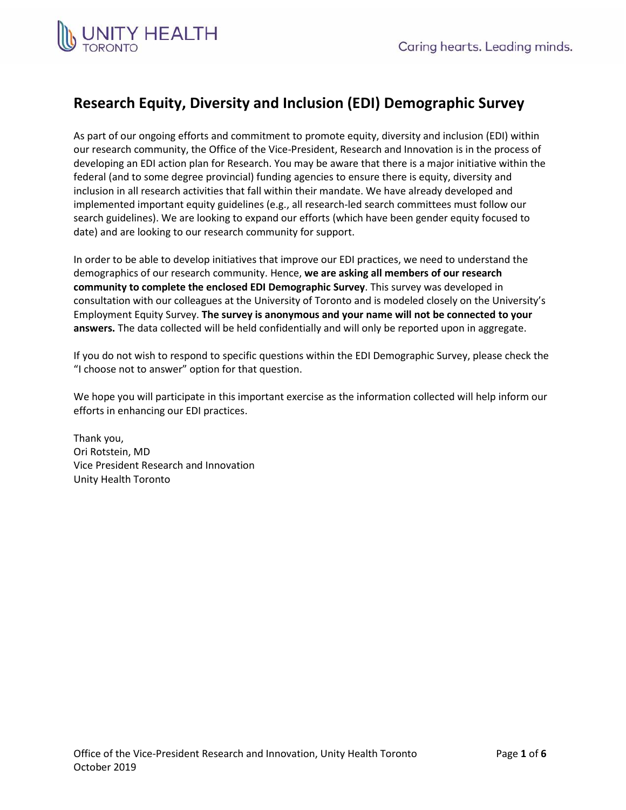

# **Research Equity, Diversity and Inclusion (EDI) Demographic Survey**

As part of our ongoing efforts and commitment to promote equity, diversity and inclusion (EDI) within our research community, the Office of the Vice-President, Research and Innovation is in the process of developing an EDI action plan for Research. You may be aware that there is a major initiative within the federal (and to some degree provincial) funding agencies to ensure there is equity, diversity and inclusion in all research activities that fall within their mandate. We have already developed and implemented important equity guidelines (e.g., all research-led search committees must follow our search guidelines). We are looking to expand our efforts (which have been gender equity focused to date) and are looking to our research community for support.

In order to be able to develop initiatives that improve our EDI practices, we need to understand the demographics of our research community. Hence, **we are asking all members of our research community to complete the enclosed EDI Demographic Survey**. This survey was developed in consultation with our colleagues at the University of Toronto and is modeled closely on the University's Employment Equity Survey. **The survey is anonymous and your name will not be connected to your answers.** The data collected will be held confidentially and will only be reported upon in aggregate.

If you do not wish to respond to specific questions within the EDI Demographic Survey, please check the "I choose not to answer" option for that question.

We hope you will participate in this important exercise as the information collected will help inform our efforts in enhancing our EDI practices.

Thank you, Ori Rotstein, MD Vice President Research and Innovation Unity Health Toronto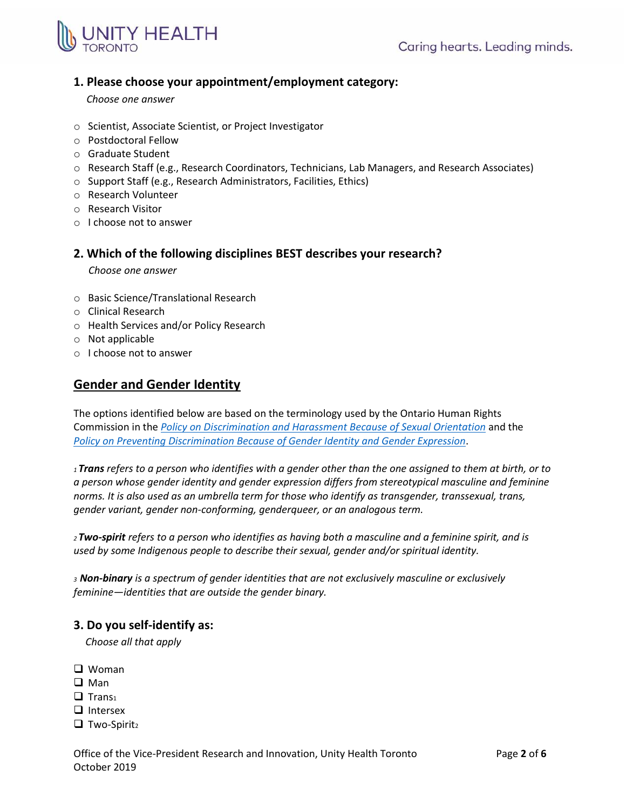

### **1. Please choose your appointment/employment category:**

### *Choose one answer*

- o Scientist, Associate Scientist, or Project Investigator
- o Postdoctoral Fellow
- o Graduate Student
- o Research Staff (e.g., Research Coordinators, Technicians, Lab Managers, and Research Associates)
- o Support Staff (e.g., Research Administrators, Facilities, Ethics)
- o Research Volunteer
- o Research Visitor
- o I choose not to answer

### **2. Which of the following disciplines BEST describes your research?**

*Choose one answer*

- o Basic Science/Translational Research
- o Clinical Research
- o Health Services and/or Policy Research
- o Not applicable
- o I choose not to answer

## **Gender and Gender Identity**

The options identified below are based on the terminology used by the Ontario Human Rights Commission in the *[Policy on Discrimination and Harassment Because of Sexual Orientation](http://www.ohrc.on.ca/en/policy-discrimination-and-harassment-because-sexual-orientation)* and the *[Policy on Preventing Discrimination Because of Gender Identity and Gender Expression](http://www.ohrc.on.ca/en/policy-preventing-discrimination-because-gender-identity-and-gender-expression)*.

*<sup>1</sup> Trans refers to a person who identifies with a gender other than the one assigned to them at birth, or to a person whose gender identity and gender expression differs from stereotypical masculine and feminine norms. It is also used as an umbrella term for those who identify as transgender, transsexual, trans, gender variant, gender non-conforming, genderqueer, or an analogous term.* 

*<sup>2</sup>Two-spirit refers to a person who identifies as having both a masculine and a feminine spirit, and is used by some Indigenous people to describe their sexual, gender and/or spiritual identity.*

*<sup>3</sup>Non-binary is a spectrum of gender identities that are not exclusively masculine or exclusively feminine—identities that are outside the gender binary.*

### **3. Do you self-identify as:**

*Choose all that apply*

- □ Woman
- $\square$  Man
- $\Box$  Trans<sub>1</sub>
- $\Box$  Intersex
- $\Box$  Two-Spirit<sub>2</sub>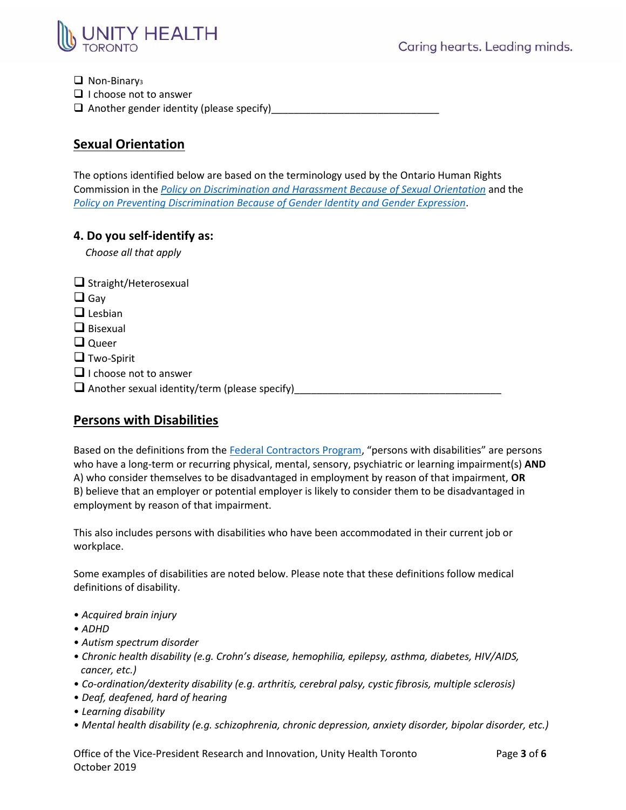

 $\Box$  Non-Binary<sub>3</sub>  $\Box$  I choose not to answer

 $\Box$  Another gender identity (please specify)

## **Sexual Orientation**

The options identified below are based on the terminology used by the Ontario Human Rights Commission in the *[Policy on Discrimination and Harassment Because of Sexual Orientation](http://www.ohrc.on.ca/en/policy-discrimination-and-harassment-because-sexual-orientation)* and the *[Policy on Preventing Discrimination Because of Gender Identity and Gender Expression](http://www.ohrc.on.ca/en/policy-preventing-discrimination-because-gender-identity-and-gender-expression)*.

### **4. Do you self-identify as:**

*Choose all that apply* 

| $\Box$ Straight/Heterosexual                         |  |
|------------------------------------------------------|--|
| $\Box$ Gay                                           |  |
| $\Box$ Lesbian                                       |  |
| $\Box$ Bisexual                                      |  |
| $\Box$ Queer                                         |  |
| $\Box$ Two-Spirit                                    |  |
| $\Box$ I choose not to answer                        |  |
| $\Box$ Another sexual identity/term (please specify) |  |

### **Persons with Disabilities**

Based on the definitions from th[e Federal Contractors Program](https://www.canada.ca/en/employment-social-development/programs/employment-equity/federal-contractor-program.html#afed), "persons with disabilities" are persons who have a long-term or recurring physical, mental, sensory, psychiatric or learning impairment(s) **AND** A) who consider themselves to be disadvantaged in employment by reason of that impairment, **OR**  B) believe that an employer or potential employer is likely to consider them to be disadvantaged in employment by reason of that impairment.

This also includes persons with disabilities who have been accommodated in their current job or workplace.

Some examples of disabilities are noted below. Please note that these definitions follow medical definitions of disability.

- *Acquired brain injury*
- *ADHD*
- *Autism spectrum disorder*
- *Chronic health disability (e.g. Crohn's disease, hemophilia, epilepsy, asthma, diabetes, HIV/AIDS, cancer, etc.)*
- *Co-ordination/dexterity disability (e.g. arthritis, cerebral palsy, cystic fibrosis, multiple sclerosis)*
- *Deaf, deafened, hard of hearing*
- *Learning disability*
- *Mental health disability (e.g. schizophrenia, chronic depression, anxiety disorder, bipolar disorder, etc.)*

Office of the Vice-President Research and Innovation, Unity Health Toronto Page **3** of **6** October 2019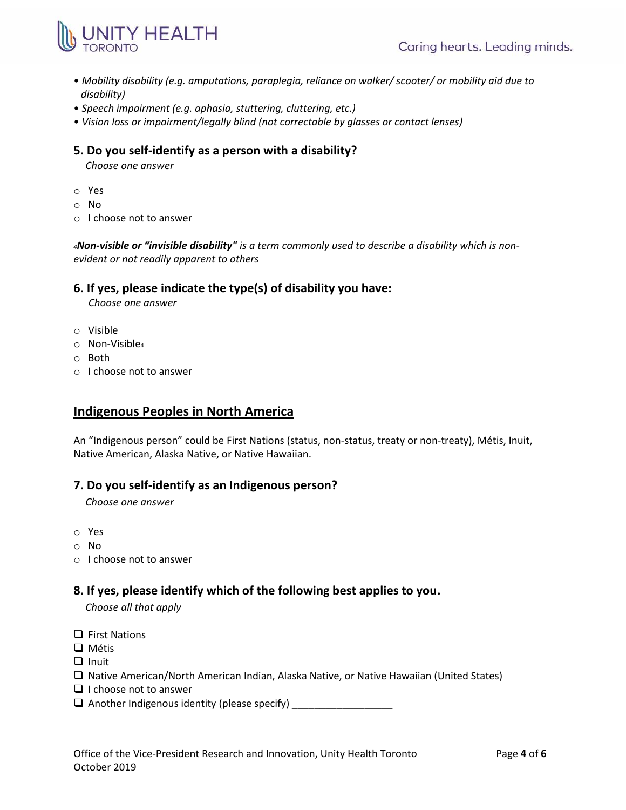

- *Mobility disability (e.g. amputations, paraplegia, reliance on walker/ scooter/ or mobility aid due to disability)*
- *Speech impairment (e.g. aphasia, stuttering, cluttering, etc.)*
- *Vision loss or impairment/legally blind (not correctable by glasses or contact lenses)*

### **5. Do you self-identify as a person with a disability?**

*Choose one answer*

- o Yes
- o No
- o I choose not to answer

*4Non-visible or "invisible disability" is a term commonly used to describe a disability which is nonevident or not readily apparent to others* 

### **6. If yes, please indicate the type(s) of disability you have:**

*Choose one answer*

- o Visible
- o Non-Visible<sup>4</sup>
- o Both
- o I choose not to answer

## **Indigenous Peoples in North America**

An "Indigenous person" could be First Nations (status, non-status, treaty or non-treaty), Métis, Inuit, Native American, Alaska Native, or Native Hawaiian.

### **7. Do you self-identify as an Indigenous person?**

*Choose one answer*

- o Yes
- o No
- o I choose not to answer

### **8. If yes, please identify which of the following best applies to you.**

*Choose all that apply*

- $\Box$  First Nations
- **Q** Métis
- $\Box$  Inuit
- □ Native American/North American Indian, Alaska Native, or Native Hawaiian (United States)
- $\Box$  I choose not to answer
- Another Indigenous identity (please specify) \_\_\_\_\_\_\_\_\_\_\_\_\_\_\_\_\_\_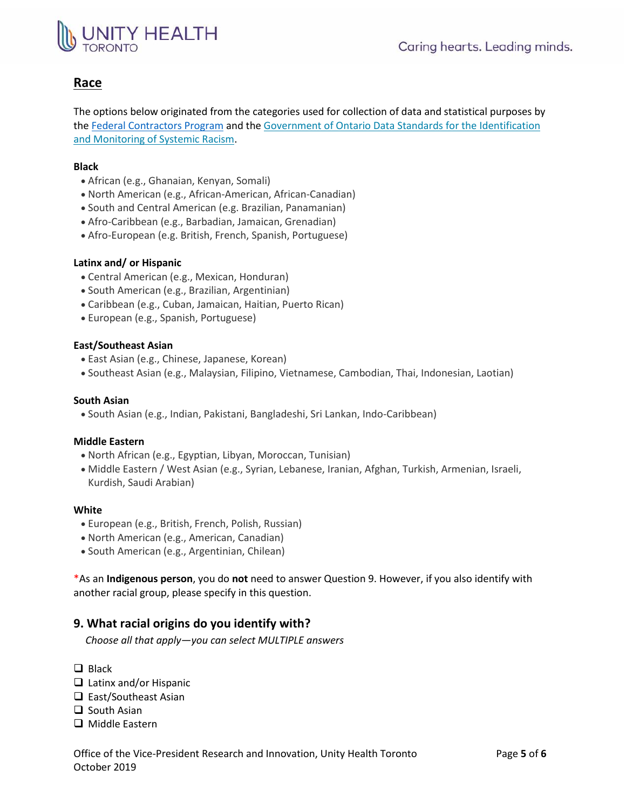# NITY HEALTH

## **Race**

The options below originated from the categories used for collection of data and statistical purposes by the Federal [Contractors Program](https://www.canada.ca/en/employment-social-development/programs/employment-equity/federal-contractor-program.html#afed) and the [Government of Ontario Data Standards for the Identification](https://www.ontario.ca/document/data-standards-identification-and-monitoring-systemic-racism)  [and Monitoring of Systemic Racism.](https://www.ontario.ca/document/data-standards-identification-and-monitoring-systemic-racism)

### **Black**

- African (e.g., Ghanaian, Kenyan, Somali)
- North American (e.g., African-American, African-Canadian)
- South and Central American (e.g. Brazilian, Panamanian)
- Afro-Caribbean (e.g., Barbadian, Jamaican, Grenadian)
- Afro-European (e.g. British, French, Spanish, Portuguese)

### **Latinx and/ or Hispanic**

- Central American (e.g., Mexican, Honduran)
- South American (e.g., Brazilian, Argentinian)
- Caribbean (e.g., Cuban, Jamaican, Haitian, Puerto Rican)
- European (e.g., Spanish, Portuguese)

### **East/Southeast Asian**

- East Asian (e.g., Chinese, Japanese, Korean)
- Southeast Asian (e.g., Malaysian, Filipino, Vietnamese, Cambodian, Thai, Indonesian, Laotian)

### **South Asian**

South Asian (e.g., Indian, Pakistani, Bangladeshi, Sri Lankan, Indo-Caribbean)

### **Middle Eastern**

- North African (e.g., Egyptian, Libyan, Moroccan, Tunisian)
- Middle Eastern / West Asian (e.g., Syrian, Lebanese, Iranian, Afghan, Turkish, Armenian, Israeli, Kurdish, Saudi Arabian)

#### **White**

- European (e.g., British, French, Polish, Russian)
- North American (e.g., American, Canadian)
- South American (e.g., Argentinian, Chilean)

\*As an **Indigenous person**, you do **not** need to answer Question 9. However, if you also identify with another racial group, please specify in this question.

### **9. What racial origins do you identify with?**

*Choose all that apply—you can select MULTIPLE answers*

- $\Box$  Black
- □ Latinx and/or Hispanic
- $\Box$  East/Southeast Asian
- $\Box$  South Asian
- □ Middle Eastern